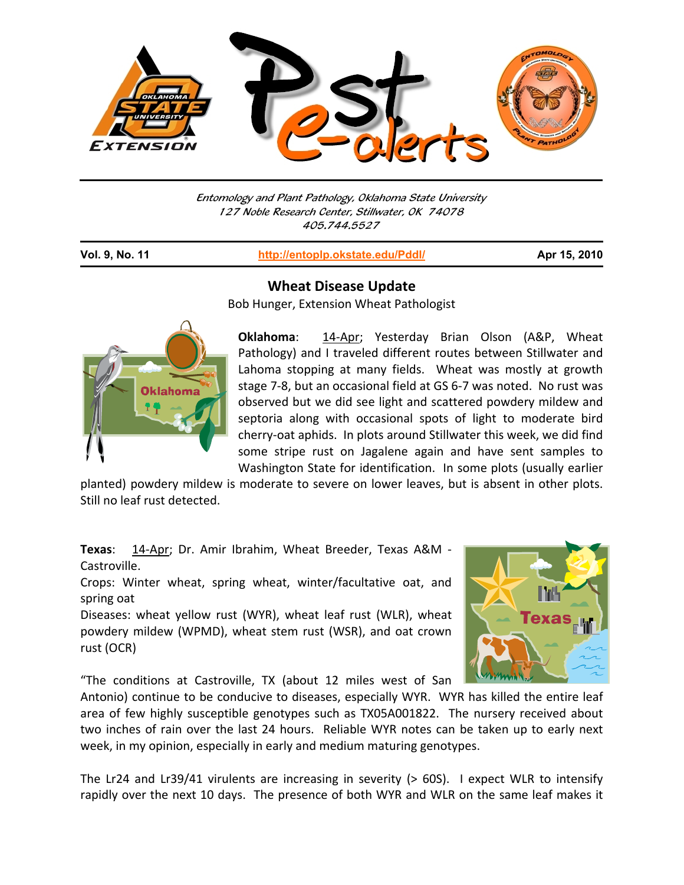

Entomology and Plant Pathology, Oklahoma State University 127 Noble Research Center, Stillwater, OK 74078 405.744.5527

| Vol. 9, No. 11 | http://entoplp.okstate.edu/Pddl/ | Apr 15, 2010 |
|----------------|----------------------------------|--------------|
|                |                                  |              |



**Wheat Disease Update**

Bob Hunger, Extension Wheat Pathologist

**Oklahoma:** 14-Apr; Yesterday Brian Olson (A&P, Wheat Pathology) and I traveled different routes between Stillwater and Lahoma stopping at many fields. Wheat was mostly at growth stage 7‐8, but an occasional field at GS 6‐7 was noted. No rust was observed but we did see light and scattered powdery mildew and septoria along with occasional spots of light to moderate bird cherry‐oat aphids. In plots around Stillwater this week, we did find some stripe rust on Jagalene again and have sent samples to Washington State for identification. In some plots (usually earlier

planted) powdery mildew is moderate to severe on lower leaves, but is absent in other plots. Still no leaf rust detected.

**Texas**: 14‐Apr; Dr. Amir Ibrahim, Wheat Breeder, Texas A&M ‐ Castroville.

Crops: Winter wheat, spring wheat, winter/facultative oat, and spring oat

Diseases: wheat yellow rust (WYR), wheat leaf rust (WLR), wheat powdery mildew (WPMD), wheat stem rust (WSR), and oat crown rust (OCR)



"The conditions at Castroville, TX (about 12 miles west of San

Antonio) continue to be conducive to diseases, especially WYR. WYR has killed the entire leaf area of few highly susceptible genotypes such as TX05A001822. The nursery received about two inches of rain over the last 24 hours. Reliable WYR notes can be taken up to early next week, in my opinion, especially in early and medium maturing genotypes.

The Lr24 and Lr39/41 virulents are increasing in severity (> 60S). I expect WLR to intensify rapidly over the next 10 days. The presence of both WYR and WLR on the same leaf makes it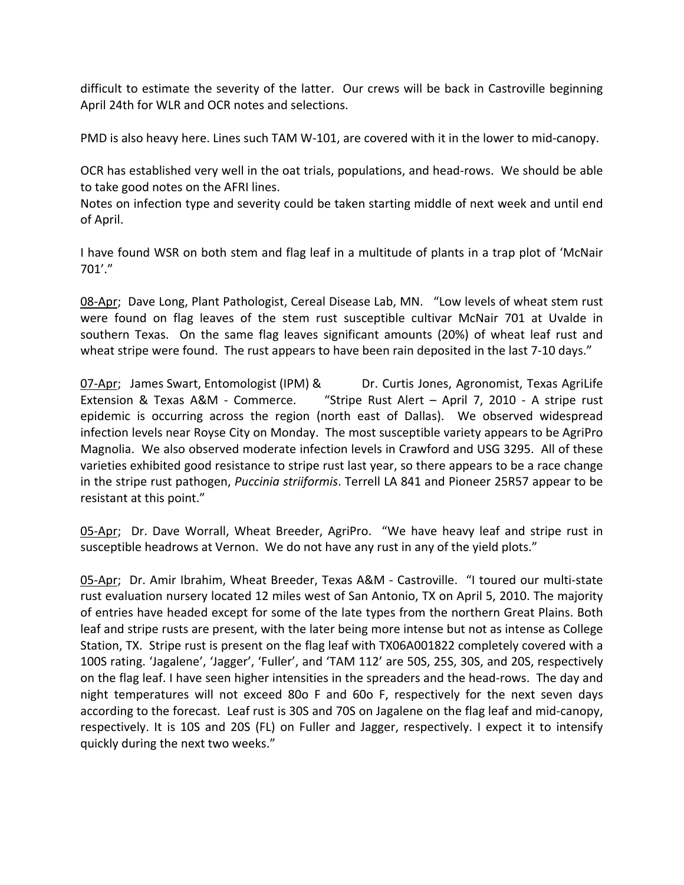difficult to estimate the severity of the latter. Our crews will be back in Castroville beginning April 24th for WLR and OCR notes and selections.

PMD is also heavy here. Lines such TAM W-101, are covered with it in the lower to mid-canopy.

OCR has established very well in the oat trials, populations, and head‐rows. We should be able to take good notes on the AFRI lines.

Notes on infection type and severity could be taken starting middle of next week and until end of April.

I have found WSR on both stem and flag leaf in a multitude of plants in a trap plot of 'McNair 701'."

08-Apr; Dave Long, Plant Pathologist, Cereal Disease Lab, MN. "Low levels of wheat stem rust were found on flag leaves of the stem rust susceptible cultivar McNair 701 at Uvalde in southern Texas. On the same flag leaves significant amounts (20%) of wheat leaf rust and wheat stripe were found. The rust appears to have been rain deposited in the last 7-10 days."

07‐Apr; James Swart, Entomologist (IPM) & Dr. Curtis Jones, Agronomist, Texas AgriLife Extension & Texas A&M ‐ Commerce. "Stripe Rust Alert – April 7, 2010 ‐ A stripe rust epidemic is occurring across the region (north east of Dallas). We observed widespread infection levels near Royse City on Monday. The most susceptible variety appears to be AgriPro Magnolia. We also observed moderate infection levels in Crawford and USG 3295. All of these varieties exhibited good resistance to stripe rust last year, so there appears to be a race change in the stripe rust pathogen, *Puccinia striiformis*. Terrell LA 841 and Pioneer 25R57 appear to be resistant at this point."

05-Apr; Dr. Dave Worrall, Wheat Breeder, AgriPro. "We have heavy leaf and stripe rust in susceptible headrows at Vernon. We do not have any rust in any of the yield plots."

05‐Apr; Dr. Amir Ibrahim, Wheat Breeder, Texas A&M ‐ Castroville. "I toured our multi‐state rust evaluation nursery located 12 miles west of San Antonio, TX on April 5, 2010. The majority of entries have headed except for some of the late types from the northern Great Plains. Both leaf and stripe rusts are present, with the later being more intense but not as intense as College Station, TX. Stripe rust is present on the flag leaf with TX06A001822 completely covered with a 100S rating. 'Jagalene', 'Jagger', 'Fuller', and 'TAM 112' are 50S, 25S, 30S, and 20S, respectively on the flag leaf. I have seen higher intensities in the spreaders and the head‐rows. The day and night temperatures will not exceed 80o F and 60o F, respectively for the next seven days according to the forecast. Leaf rust is 30S and 70S on Jagalene on the flag leaf and mid‐canopy, respectively. It is 10S and 20S (FL) on Fuller and Jagger, respectively. I expect it to intensify quickly during the next two weeks."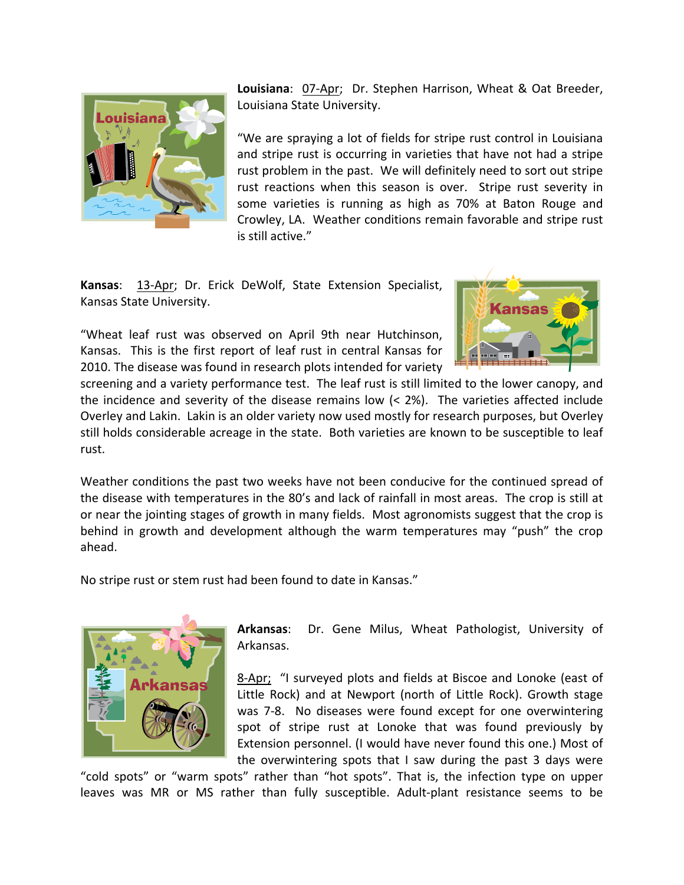

**Louisiana**: 07‐Apr; Dr. Stephen Harrison, Wheat & Oat Breeder, Louisiana State University.

"We are spraying a lot of fields for stripe rust control in Louisiana and stripe rust is occurring in varieties that have not had a stripe rust problem in the past. We will definitely need to sort out stripe rust reactions when this season is over. Stripe rust severity in some varieties is running as high as 70% at Baton Rouge and Crowley, LA. Weather conditions remain favorable and stripe rust is still active."

**Kansas**: 13‐Apr; Dr. Erick DeWolf, State Extension Specialist, Kansas State University.

"Wheat leaf rust was observed on April 9th near Hutchinson, Kansas. This is the first report of leaf rust in central Kansas for 2010. The disease was found in research plots intended for variety



screening and a variety performance test. The leaf rust is still limited to the lower canopy, and the incidence and severity of the disease remains low  $( $2\%$ ).$  The varieties affected include Overley and Lakin. Lakin is an older variety now used mostly for research purposes, but Overley still holds considerable acreage in the state. Both varieties are known to be susceptible to leaf rust.

Weather conditions the past two weeks have not been conducive for the continued spread of the disease with temperatures in the 80's and lack of rainfall in most areas. The crop is still at or near the jointing stages of growth in many fields. Most agronomists suggest that the crop is behind in growth and development although the warm temperatures may "push" the crop ahead.

No stripe rust or stem rust had been found to date in Kansas."



**Arkansas**: Dr. Gene Milus, Wheat Pathologist, University of Arkansas.

8‐Apr; "I surveyed plots and fields at Biscoe and Lonoke (east of Little Rock) and at Newport (north of Little Rock). Growth stage was 7-8. No diseases were found except for one overwintering spot of stripe rust at Lonoke that was found previously by Extension personnel. (I would have never found this one.) Most of the overwintering spots that I saw during the past 3 days were

"cold spots" or "warm spots" rather than "hot spots". That is, the infection type on upper leaves was MR or MS rather than fully susceptible. Adult-plant resistance seems to be